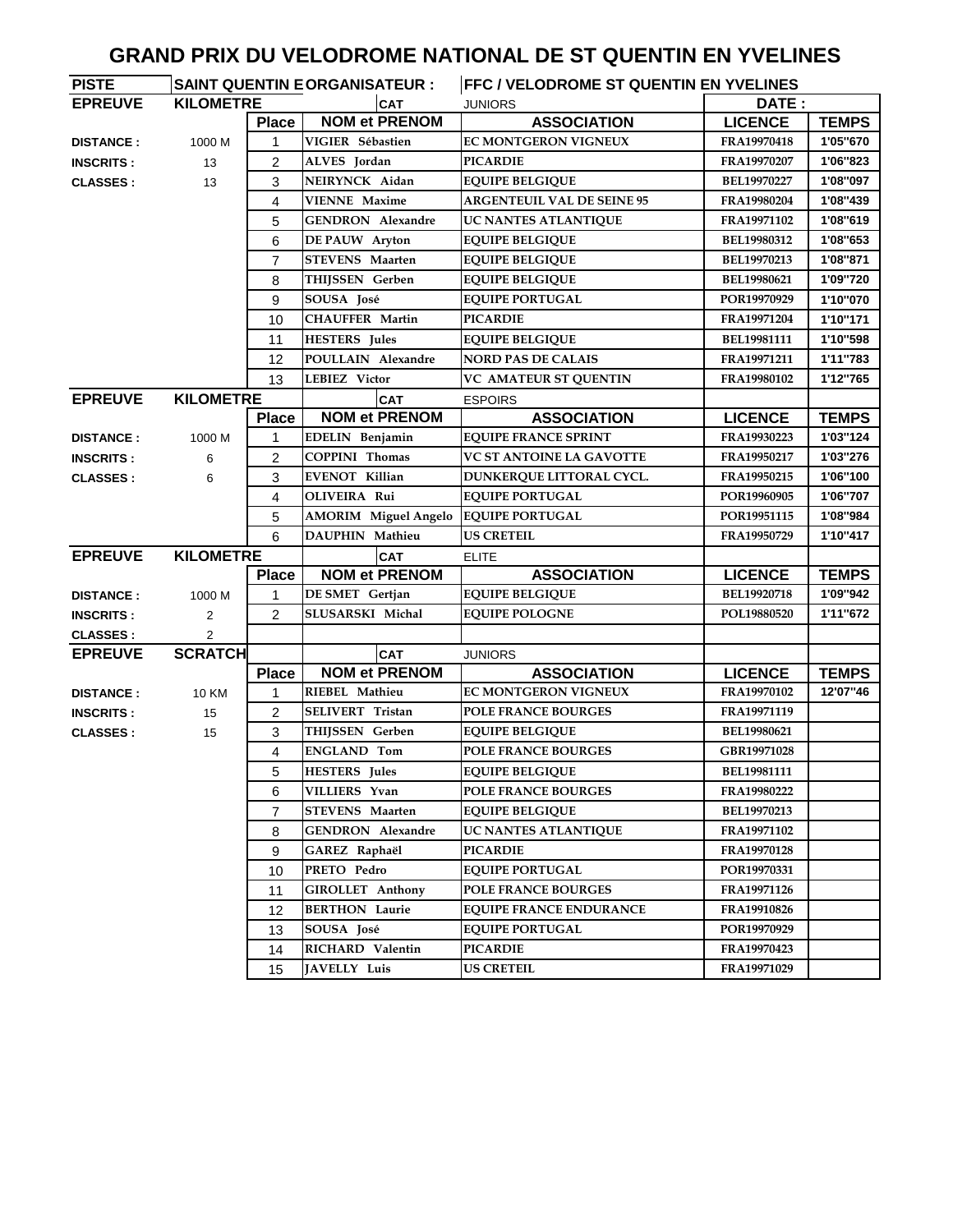## **GRAND PRIX DU VELODROME NATIONAL DE ST QUENTIN EN YVELINES**

| <b>PISTE</b>     | <b>SAINT QUENTIN EORGANISATEUR :</b> |                |                             | <b>FFC / VELODROME ST QUENTIN EN YVELINES</b> |                    |              |  |
|------------------|--------------------------------------|----------------|-----------------------------|-----------------------------------------------|--------------------|--------------|--|
| <b>EPREUVE</b>   | <b>KILOMETRE</b>                     |                | <b>CAT</b>                  | <b>JUNIORS</b>                                | DATE:              |              |  |
|                  |                                      | <b>Place</b>   | <b>NOM et PRENOM</b>        | <b>ASSOCIATION</b>                            | <b>LICENCE</b>     | <b>TEMPS</b> |  |
| <b>DISTANCE:</b> | 1000 M                               | 1              | VIGIER Sébastien            | <b>EC MONTGERON VIGNEUX</b>                   | FRA19970418        | 1'05"670     |  |
| <b>INSCRITS:</b> | 13                                   | 2              | ALVES Jordan                | <b>PICARDIE</b>                               | FRA19970207        | 1'06"823     |  |
| <b>CLASSES:</b>  | 13                                   | 3              | NEIRYNCK Aidan              | <b>EQUIPE BELGIQUE</b>                        | BEL19970227        | 1'08"097     |  |
|                  |                                      | 4              | <b>VIENNE Maxime</b>        | <b>ARGENTEUIL VAL DE SEINE 95</b>             | FRA19980204        | 1'08"439     |  |
|                  |                                      | 5              | <b>GENDRON</b> Alexandre    | UC NANTES ATLANTIQUE                          | FRA19971102        | 1'08"619     |  |
|                  |                                      | 6              | <b>DE PAUW</b> Aryton       | <b>EQUIPE BELGIQUE</b>                        | BEL19980312        | 1'08"653     |  |
|                  |                                      | $\overline{7}$ | <b>STEVENS</b> Maarten      | <b>EOUIPE BELGIOUE</b>                        | BEL19970213        | 1'08"871     |  |
|                  |                                      | 8              | THIJSSEN Gerben             | <b>EQUIPE BELGIQUE</b>                        | <b>BEL19980621</b> | 1'09"720     |  |
|                  |                                      | 9              | SOUSA José                  | <b>EQUIPE PORTUGAL</b>                        | POR19970929        | 1'10"070     |  |
|                  |                                      | 10             | <b>CHAUFFER Martin</b>      | <b>PICARDIE</b>                               | FRA19971204        | 1'10"'171    |  |
|                  |                                      | 11             | <b>HESTERS</b> Jules        | <b>EQUIPE BELGIQUE</b>                        | <b>BEL19981111</b> | 1'10"598     |  |
|                  |                                      | 12             | POULLAIN Alexandre          | <b>NORD PAS DE CALAIS</b>                     | FRA19971211        | 1'11"783     |  |
|                  |                                      | 13             | <b>LEBIEZ</b> Victor        | VC AMATEUR ST QUENTIN                         | FRA19980102        | 1'12"765     |  |
| <b>EPREUVE</b>   | <b>KILOMETRE</b>                     |                | <b>CAT</b>                  | <b>ESPOIRS</b>                                |                    |              |  |
|                  |                                      | <b>Place</b>   | <b>NOM et PRENOM</b>        | <b>ASSOCIATION</b>                            | <b>LICENCE</b>     | <b>TEMPS</b> |  |
| <b>DISTANCE:</b> | 1000 M                               | 1              | EDELIN Benjamin             | <b>EQUIPE FRANCE SPRINT</b>                   | FRA19930223        | 1'03"124     |  |
| <b>INSCRITS:</b> | 6                                    | 2              | <b>COPPINI Thomas</b>       | VC ST ANTOINE LA GAVOTTE                      | FRA19950217        | 1'03"276     |  |
| <b>CLASSES:</b>  | 6                                    | 3              | <b>EVENOT Killian</b>       | DUNKERQUE LITTORAL CYCL.                      | FRA19950215        | 1'06"100     |  |
|                  |                                      | 4              | OLIVEIRA Rui                | <b>EQUIPE PORTUGAL</b>                        | POR19960905        | 1'06"707     |  |
|                  |                                      | 5              | <b>AMORIM Miguel Angelo</b> | <b>EQUIPE PORTUGAL</b>                        | POR19951115        | 1'08"984     |  |
|                  |                                      | 6              | DAUPHIN Mathieu             | <b>US CRETEIL</b>                             | FRA19950729        | 1'10"417     |  |
| <b>EPREUVE</b>   | <b>KILOMETRE</b>                     |                | <b>CAT</b>                  | <b>ELITE</b>                                  |                    |              |  |
|                  |                                      | <b>Place</b>   | <b>NOM et PRENOM</b>        | <b>ASSOCIATION</b>                            | <b>LICENCE</b>     | <b>TEMPS</b> |  |
| <b>DISTANCE:</b> | 1000 M                               | 1              | DE SMET Gertjan             | <b>EQUIPE BELGIQUE</b>                        | BEL19920718        | 1'09"942     |  |
| <b>INSCRITS:</b> | 2                                    | $\overline{2}$ | SLUSARSKI Michal            | <b>EQUIPE POLOGNE</b>                         | POL19880520        | 1'11"672     |  |
| <b>CLASSES:</b>  | 2                                    |                |                             |                                               |                    |              |  |
| <b>EPREUVE</b>   | <b>SCRATCH</b>                       |                | <b>CAT</b>                  | <b>JUNIORS</b>                                |                    |              |  |
|                  |                                      | <b>Place</b>   | <b>NOM et PRENOM</b>        | <b>ASSOCIATION</b>                            | <b>LICENCE</b>     | <b>TEMPS</b> |  |
| <b>DISTANCE:</b> | 10 KM                                | 1              | RIEBEL Mathieu              | <b>EC MONTGERON VIGNEUX</b>                   | FRA19970102        | 12'07"46     |  |
| <b>INSCRITS:</b> | 15                                   | $\overline{2}$ | SELIVERT Tristan            | <b>POLE FRANCE BOURGES</b>                    | FRA19971119        |              |  |
| <b>CLASSES:</b>  | 15                                   | 3              | THIJSSEN Gerben             | <b>EQUIPE BELGIQUE</b>                        | <b>BEL19980621</b> |              |  |
|                  |                                      | $\overline{4}$ | <b>ENGLAND Tom</b>          | POLE FRANCE BOURGES                           | GBR19971028        |              |  |
|                  |                                      | 5              | <b>HESTERS</b> Jules        | <b>EQUIPE BELGIQUE</b>                        | BEL19981111        |              |  |
|                  |                                      | 6              | VILLIERS Yvan               | <b>POLE FRANCE BOURGES</b>                    | FRA19980222        |              |  |
|                  |                                      | $\overline{7}$ | <b>STEVENS</b> Maarten      | <b>EQUIPE BELGIQUE</b>                        | BEL19970213        |              |  |
|                  |                                      | 8              | <b>GENDRON</b> Alexandre    | UC NANTES ATLANTIQUE                          | <b>FRA19971102</b> |              |  |
|                  |                                      | 9              | GAREZ Raphaël               | <b>PICARDIE</b>                               | FRA19970128        |              |  |
|                  |                                      | 10             | PRETO Pedro                 | <b>EOUIPE PORTUGAL</b>                        | POR19970331        |              |  |
|                  |                                      | 11             | <b>GIROLLET Anthony</b>     | <b>POLE FRANCE BOURGES</b>                    | FRA19971126        |              |  |
|                  |                                      | 12             | <b>BERTHON Laurie</b>       | <b>EQUIPE FRANCE ENDURANCE</b>                | FRA19910826        |              |  |
|                  |                                      | 13             | SOUSA José                  | <b>EOUIPE PORTUGAL</b>                        | POR19970929        |              |  |
|                  |                                      |                |                             |                                               |                    |              |  |
|                  |                                      | 14             | RICHARD Valentin            | <b>PICARDIE</b>                               | FRA19970423        |              |  |
|                  |                                      |                |                             |                                               |                    |              |  |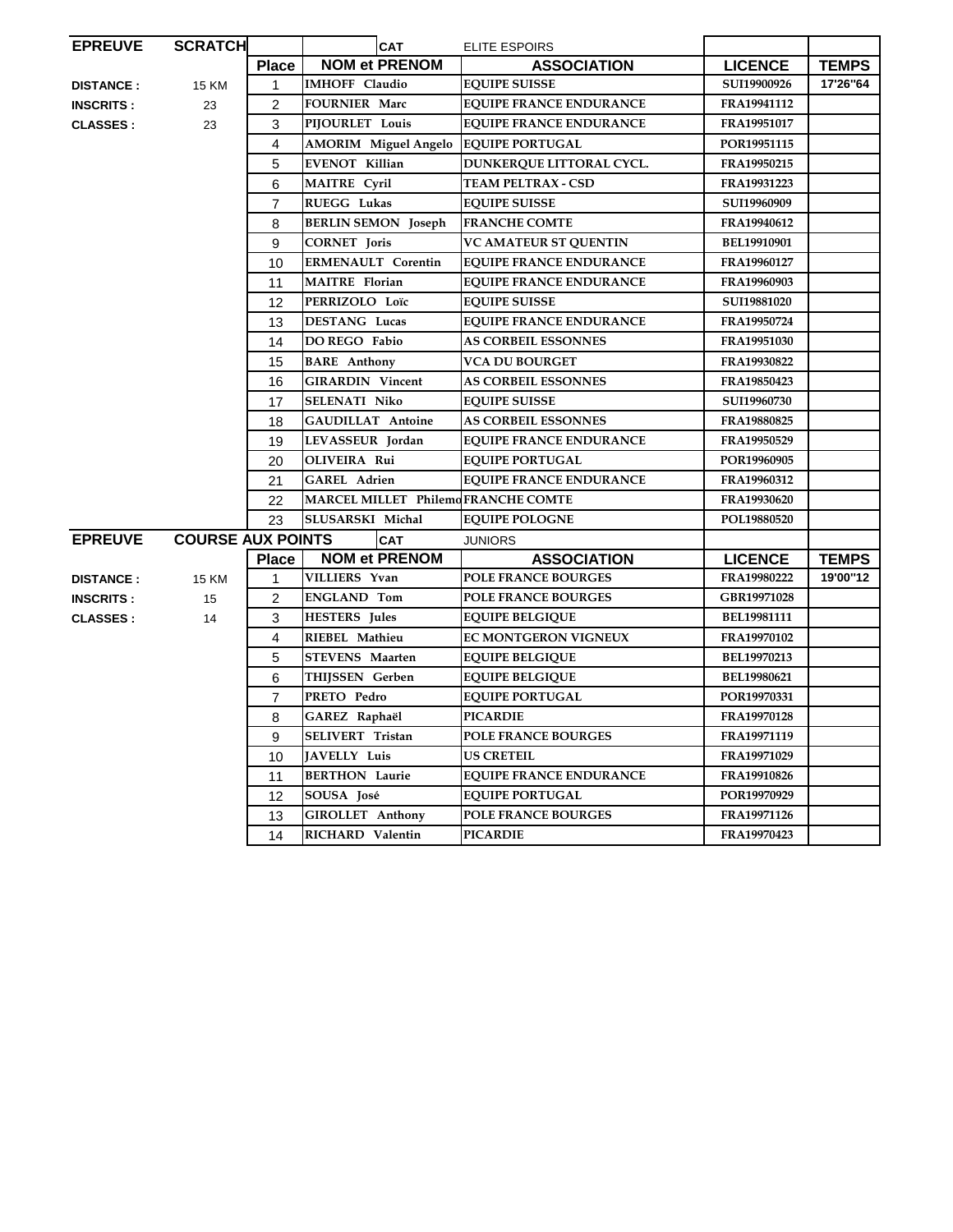| <b>EPREUVE</b>   | <b>SCRATCH</b>           |                | <b>CAT</b>                         | ELITE ESPOIRS                  |                    |              |
|------------------|--------------------------|----------------|------------------------------------|--------------------------------|--------------------|--------------|
|                  |                          | <b>Place</b>   | <b>NOM et PRENOM</b>               | <b>ASSOCIATION</b>             | <b>LICENCE</b>     | <b>TEMPS</b> |
| <b>DISTANCE:</b> | <b>15 KM</b>             | 1              | <b>IMHOFF Claudio</b>              | <b>EQUIPE SUISSE</b>           | SUI19900926        | 17'26"64     |
| <b>INSCRITS:</b> | 23                       | $\overline{c}$ | <b>FOURNIER Marc</b>               | <b>EQUIPE FRANCE ENDURANCE</b> | FRA19941112        |              |
| <b>CLASSES:</b>  | 23                       | 3              | PIJOURLET Louis                    | <b>EQUIPE FRANCE ENDURANCE</b> | FRA19951017        |              |
|                  |                          | 4              | <b>AMORIM Miguel Angelo</b>        | <b>EQUIPE PORTUGAL</b>         | POR19951115        |              |
|                  |                          | 5              | <b>EVENOT Killian</b>              | DUNKERQUE LITTORAL CYCL.       | FRA19950215        |              |
|                  |                          | 6              | <b>MAITRE</b> Cyril                | TEAM PELTRAX - CSD             | FRA19931223        |              |
|                  |                          | $\overline{7}$ | RUEGG Lukas                        | <b>EQUIPE SUISSE</b>           | SUI19960909        |              |
|                  |                          | 8              | <b>BERLIN SEMON Joseph</b>         | <b>FRANCHE COMTE</b>           | FRA19940612        |              |
|                  |                          | 9              | <b>CORNET</b> Joris                | <b>VC AMATEUR ST QUENTIN</b>   | <b>BEL19910901</b> |              |
|                  |                          | 10             | <b>ERMENAULT Corentin</b>          | <b>EQUIPE FRANCE ENDURANCE</b> | FRA19960127        |              |
|                  |                          | 11             | <b>MAITRE</b> Florian              | <b>EQUIPE FRANCE ENDURANCE</b> | FRA19960903        |              |
|                  |                          | 12             | PERRIZOLO Loïc                     | <b>EQUIPE SUISSE</b>           | <b>SUI19881020</b> |              |
|                  |                          | 13             | <b>DESTANG Lucas</b>               | <b>EQUIPE FRANCE ENDURANCE</b> | FRA19950724        |              |
|                  |                          | 14             | <b>DO REGO Fabio</b>               | <b>AS CORBEIL ESSONNES</b>     | FRA19951030        |              |
|                  |                          | 15             | <b>BARE</b> Anthony                | <b>VCA DU BOURGET</b>          | FRA19930822        |              |
|                  |                          | 16             | <b>GIRARDIN Vincent</b>            | <b>AS CORBEIL ESSONNES</b>     | FRA19850423        |              |
|                  |                          | 17             | <b>SELENATI Niko</b>               | <b>EQUIPE SUISSE</b>           | SUI19960730        |              |
|                  |                          | 18             | <b>GAUDILLAT Antoine</b>           | <b>AS CORBEIL ESSONNES</b>     | FRA19880825        |              |
|                  |                          | 19             | LEVASSEUR Jordan                   | <b>EQUIPE FRANCE ENDURANCE</b> | FRA19950529        |              |
|                  |                          | 20             | OLIVEIRA Rui                       | <b>EOUIPE PORTUGAL</b>         | POR19960905        |              |
|                  |                          | 21             | <b>GAREL Adrien</b>                | <b>EQUIPE FRANCE ENDURANCE</b> | FRA19960312        |              |
|                  |                          | 22             | MARCEL MILLET PhilemoFRANCHE COMTE |                                | FRA19930620        |              |
|                  |                          | 23             | SLUSARSKI Michal                   | <b>EQUIPE POLOGNE</b>          | POL19880520        |              |
| <b>EPREUVE</b>   | <b>COURSE AUX POINTS</b> |                | <b>CAT</b>                         | <b>JUNIORS</b>                 |                    |              |
|                  |                          | <b>Place</b>   | <b>NOM et PRENOM</b>               | <b>ASSOCIATION</b>             | <b>LICENCE</b>     | <b>TEMPS</b> |
| <b>DISTANCE:</b> | <b>15 KM</b>             | 1              | VILLIERS Yvan                      | POLE FRANCE BOURGES            | FRA19980222        | 19'00"12     |
| <b>INSCRITS:</b> | 15                       | $\overline{2}$ | <b>ENGLAND Tom</b>                 | <b>POLE FRANCE BOURGES</b>     | GBR19971028        |              |
| <b>CLASSES:</b>  | 14                       | 3              | <b>HESTERS</b> Jules               | <b>EQUIPE BELGIQUE</b>         | <b>BEL19981111</b> |              |
|                  |                          | 4              | RIEBEL Mathieu                     | EC MONTGERON VIGNEUX           | FRA19970102        |              |
|                  |                          | 5              | <b>STEVENS</b> Maarten             | <b>EQUIPE BELGIQUE</b>         | BEL19970213        |              |
|                  |                          | 6              | THIJSSEN Gerben                    | <b>EQUIPE BELGIQUE</b>         | <b>BEL19980621</b> |              |
|                  |                          | 7              | PRETO Pedro                        | <b>EQUIPE PORTUGAL</b>         | POR19970331        |              |
|                  |                          | 8              | GAREZ Raphaël                      | <b>PICARDIE</b>                | FRA19970128        |              |
|                  |                          | 9              | SELIVERT Tristan                   | POLE FRANCE BOURGES            | FRA19971119        |              |
|                  |                          | 10             | JAVELLY Luis                       | <b>US CRETEIL</b>              | FRA19971029        |              |
|                  |                          | 11             | <b>BERTHON Laurie</b>              | <b>EQUIPE FRANCE ENDURANCE</b> | FRA19910826        |              |
|                  |                          | 12             | SOUSA José                         | <b>EQUIPE PORTUGAL</b>         | POR19970929        |              |
|                  |                          | 13             | <b>GIROLLET</b> Anthony            | POLE FRANCE BOURGES            | FRA19971126        |              |
|                  |                          | 14             | RICHARD Valentin                   | <b>PICARDIE</b>                | FRA19970423        |              |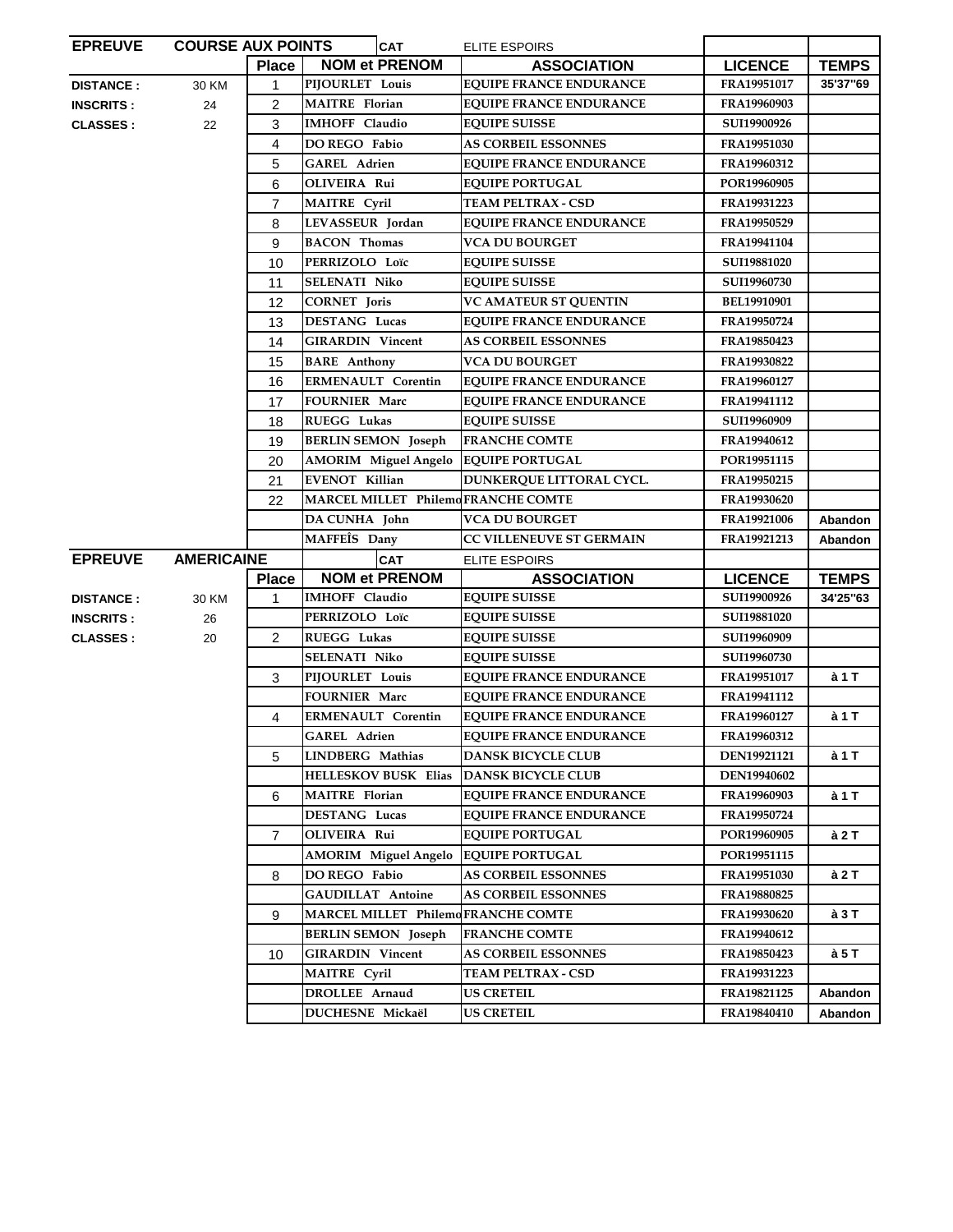| <b>EPREUVE</b><br><b>COURSE AUX POINTS</b> |                   |                |                             | <b>CAT</b> | <b>ELITE ESPOIRS</b>                 |                    |               |
|--------------------------------------------|-------------------|----------------|-----------------------------|------------|--------------------------------------|--------------------|---------------|
|                                            |                   | <b>Place</b>   | <b>NOM et PRENOM</b>        |            | <b>ASSOCIATION</b>                   | <b>LICENCE</b>     | <b>TEMPS</b>  |
| <b>DISTANCE:</b>                           | 30 KM             | 1              | PIJOURLET Louis             |            | <b>EQUIPE FRANCE ENDURANCE</b>       | FRA19951017        | 35'37"69      |
| <b>INSCRITS:</b>                           | 24                | 2              | <b>MAITRE</b> Florian       |            | <b>EQUIPE FRANCE ENDURANCE</b>       | FRA19960903        |               |
| <b>CLASSES:</b>                            | 22                | 3              | <b>IMHOFF Claudio</b>       |            | <b>EOUIPE SUISSE</b>                 | SUI19900926        |               |
|                                            |                   | 4              | DO REGO Fabio               |            | <b>AS CORBEIL ESSONNES</b>           | FRA19951030        |               |
|                                            |                   | 5              | GAREL Adrien                |            | <b>EQUIPE FRANCE ENDURANCE</b>       | FRA19960312        |               |
|                                            |                   | 6              | OLIVEIRA Rui                |            | <b>EQUIPE PORTUGAL</b>               | POR19960905        |               |
|                                            |                   | $\overline{7}$ | <b>MAITRE</b> Cyril         |            | <b>TEAM PELTRAX - CSD</b>            | FRA19931223        |               |
|                                            |                   | 8              | LEVASSEUR Jordan            |            | <b>EQUIPE FRANCE ENDURANCE</b>       | FRA19950529        |               |
|                                            |                   | 9              | <b>BACON Thomas</b>         |            | <b>VCA DU BOURGET</b>                | FRA19941104        |               |
|                                            |                   | 10             | PERRIZOLO Loïc              |            | <b>EQUIPE SUISSE</b>                 | SUI19881020        |               |
|                                            |                   | 11             | <b>SELENATI Niko</b>        |            | <b>EQUIPE SUISSE</b>                 | SUI19960730        |               |
|                                            |                   | 12             | <b>CORNET</b> Joris         |            | <b>VC AMATEUR ST QUENTIN</b>         | <b>BEL19910901</b> |               |
|                                            |                   | 13             | <b>DESTANG Lucas</b>        |            | <b>EQUIPE FRANCE ENDURANCE</b>       | FRA19950724        |               |
|                                            |                   | 14             | <b>GIRARDIN Vincent</b>     |            | <b>AS CORBEIL ESSONNES</b>           | FRA19850423        |               |
|                                            |                   | 15             | <b>BARE</b> Anthony         |            | VCA DU BOURGET                       | FRA19930822        |               |
|                                            |                   | 16             | <b>ERMENAULT Corentin</b>   |            | <b>EQUIPE FRANCE ENDURANCE</b>       | <b>FRA19960127</b> |               |
|                                            |                   | 17             | <b>FOURNIER Marc</b>        |            | <b>EQUIPE FRANCE ENDURANCE</b>       | FRA19941112        |               |
|                                            |                   | 18             | RUEGG Lukas                 |            | <b>EQUIPE SUISSE</b>                 | SUI19960909        |               |
|                                            |                   | 19             | <b>BERLIN SEMON Joseph</b>  |            | <b>FRANCHE COMTE</b>                 | FRA19940612        |               |
|                                            |                   | 20             |                             |            | AMORIM Miguel Angelo EQUIPE PORTUGAL | POR19951115        |               |
|                                            |                   | 21             | <b>EVENOT Killian</b>       |            | DUNKERQUE LITTORAL CYCL.             | FRA19950215        |               |
|                                            |                   | 22             |                             |            | MARCEL MILLET PhilemoFRANCHE COMTE   | FRA19930620        |               |
|                                            |                   |                | DA CUNHA John               |            | <b>VCA DU BOURGET</b>                | FRA19921006        | Abandon       |
|                                            |                   |                | MAFFEÎS Dany                |            | <b>CC VILLENEUVE ST GERMAIN</b>      | FRA19921213        | Abandon       |
| <b>EPREUVE</b>                             | <b>AMERICAINE</b> |                |                             | <b>CAT</b> | <b>ELITE ESPOIRS</b>                 |                    |               |
|                                            |                   | <b>Place</b>   | <b>NOM et PRENOM</b>        |            | <b>ASSOCIATION</b>                   | <b>LICENCE</b>     | <b>TEMPS</b>  |
| <b>DISTANCE:</b>                           | 30 KM             | 1              | <b>IMHOFF Claudio</b>       |            | <b>EQUIPE SUISSE</b>                 | SUI19900926        | 34'25"63      |
| <b>INSCRITS:</b>                           | 26                |                | PERRIZOLO Loïc              |            | <b>EQUIPE SUISSE</b>                 | SUI19881020        |               |
| <b>CLASSES:</b>                            | 20                | $\overline{2}$ | <b>RUEGG Lukas</b>          |            | <b>EQUIPE SUISSE</b>                 | SUI19960909        |               |
|                                            |                   |                | SELENATI Niko               |            | <b>EQUIPE SUISSE</b>                 | SUI19960730        |               |
|                                            |                   | 3              | PIJOURLET Louis             |            | <b>EQUIPE FRANCE ENDURANCE</b>       | <b>FRA19951017</b> | à 1 T         |
|                                            |                   |                | <b>FOURNIER Marc</b>        |            | <b>EQUIPE FRANCE ENDURANCE</b>       | FRA19941112        |               |
|                                            |                   | 4              | <b>ERMENAULT Corentin</b>   |            | <b>EQUIPE FRANCE ENDURANCE</b>       | FRA19960127        | à 1 T         |
|                                            |                   |                | GAREL Adrien                |            | <b>EQUIPE FRANCE ENDURANCE</b>       | FRA19960312        |               |
|                                            |                   | 5              | LINDBERG Mathias            |            | <b>DANSK BICYCLE CLUB</b>            | DEN19921121        | $\lambda$ 1 T |
|                                            |                   |                | <b>HELLESKOV BUSK Elias</b> |            | <b>DANSK BICYCLE CLUB</b>            | DEN19940602        |               |
|                                            |                   | 6              | <b>MAITRE</b> Florian       |            | <b>EQUIPE FRANCE ENDURANCE</b>       | <b>FRA19960903</b> | à 1 T         |
|                                            |                   |                | <b>DESTANG Lucas</b>        |            | <b>EQUIPE FRANCE ENDURANCE</b>       | FRA19950724        |               |
|                                            |                   | $\overline{7}$ | OLIVEIRA Rui                |            | <b>EQUIPE PORTUGAL</b>               | POR19960905        | à 2 T         |
|                                            |                   |                |                             |            | AMORIM Miguel Angelo EQUIPE PORTUGAL | POR19951115        |               |
|                                            |                   | 8              | DO REGO Fabio               |            | <b>AS CORBEIL ESSONNES</b>           | FRA19951030        | à 2 T         |
|                                            |                   |                | <b>GAUDILLAT Antoine</b>    |            | <b>AS CORBEIL ESSONNES</b>           | FRA19880825        |               |
|                                            |                   | 9              |                             |            | MARCEL MILLET PhilemoFRANCHE COMTE   | <b>FRA19930620</b> | à 3 T         |
|                                            |                   |                | <b>BERLIN SEMON Joseph</b>  |            | <b>FRANCHE COMTE</b>                 | FRA19940612        |               |
|                                            |                   | 10             | <b>GIRARDIN Vincent</b>     |            | <b>AS CORBEIL ESSONNES</b>           | <b>FRA19850423</b> | $\lambda$ 5 T |
|                                            |                   |                | <b>MAITRE Cyril</b>         |            | <b>TEAM PELTRAX - CSD</b>            | FRA19931223        |               |
|                                            |                   |                | DROLLEE Arnaud              |            | <b>US CRETEIL</b>                    | FRA19821125        | Abandon       |
|                                            |                   |                | DUCHESNE Mickaël            |            | <b>US CRETEIL</b>                    | FRA19840410        | Abandon       |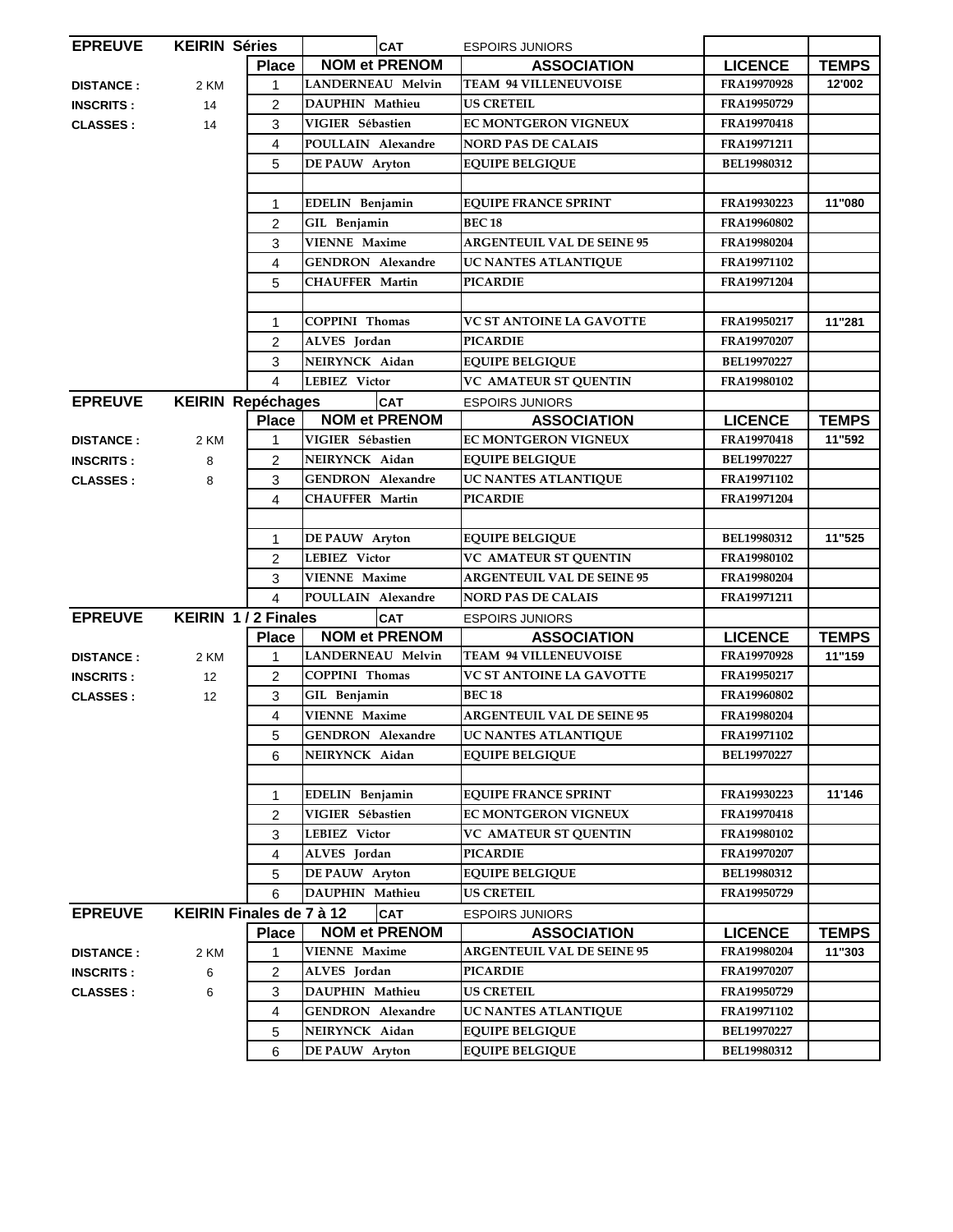| <b>EPREUVE</b>   | <b>KEIRIN Séries</b>      |                | <b>CAT</b>               | <b>ESPOIRS JUNIORS</b>            |                    |              |
|------------------|---------------------------|----------------|--------------------------|-----------------------------------|--------------------|--------------|
|                  |                           | <b>Place</b>   | <b>NOM et PRENOM</b>     | <b>ASSOCIATION</b>                | <b>LICENCE</b>     | <b>TEMPS</b> |
| <b>DISTANCE:</b> | 2 KM                      | 1              | <b>LANDERNEAU Melvin</b> | <b>TEAM 94 VILLENEUVOISE</b>      | FRA19970928        | 12'002       |
| <b>INSCRITS:</b> | 14                        | $\overline{c}$ | DAUPHIN Mathieu          | <b>US CRETEIL</b>                 | FRA19950729        |              |
| <b>CLASSES:</b>  | 14                        | 3              | VIGIER Sébastien         | <b>EC MONTGERON VIGNEUX</b>       | FRA19970418        |              |
|                  |                           | 4              | POULLAIN Alexandre       | <b>NORD PAS DE CALAIS</b>         | FRA19971211        |              |
|                  |                           | 5              | <b>DE PAUW</b> Aryton    | <b>EQUIPE BELGIQUE</b>            | BEL19980312        |              |
|                  |                           |                |                          |                                   |                    |              |
|                  |                           | 1              | EDELIN Benjamin          | <b>EOUIPE FRANCE SPRINT</b>       | FRA19930223        | 11"080       |
|                  |                           | $\overline{2}$ | GIL Benjamin             | <b>BEC 18</b>                     | FRA19960802        |              |
|                  |                           | 3              | <b>VIENNE Maxime</b>     | <b>ARGENTEUIL VAL DE SEINE 95</b> | FRA19980204        |              |
|                  |                           | 4              | <b>GENDRON</b> Alexandre | UC NANTES ATLANTIQUE              | FRA19971102        |              |
|                  |                           | 5              | <b>CHAUFFER Martin</b>   | <b>PICARDIE</b>                   | FRA19971204        |              |
|                  |                           |                |                          |                                   |                    |              |
|                  |                           | 1              | <b>COPPINI Thomas</b>    | <b>VC ST ANTOINE LA GAVOTTE</b>   | FRA19950217        | 11"281       |
|                  |                           | $\overline{2}$ | ALVES Jordan             | <b>PICARDIE</b>                   | FRA19970207        |              |
|                  |                           | 3              | NEIRYNCK Aidan           | <b>EQUIPE BELGIQUE</b>            | BEL19970227        |              |
|                  |                           | 4              | LEBIEZ Victor            | VC AMATEUR ST QUENTIN             | FRA19980102        |              |
| <b>EPREUVE</b>   | <b>KEIRIN Repéchages</b>  |                | <b>CAT</b>               | <b>ESPOIRS JUNIORS</b>            |                    |              |
|                  |                           | <b>Place</b>   | <b>NOM et PRENOM</b>     | <b>ASSOCIATION</b>                | <b>LICENCE</b>     | <b>TEMPS</b> |
| <b>DISTANCE:</b> | 2 KM                      | 1              | VIGIER Sébastien         | <b>EC MONTGERON VIGNEUX</b>       | FRA19970418        | 11"592       |
| <b>INSCRITS:</b> | 8                         | $\overline{2}$ | NEIRYNCK Aidan           | <b>EQUIPE BELGIQUE</b>            | BEL19970227        |              |
| <b>CLASSES:</b>  | 8                         | 3              | <b>GENDRON</b> Alexandre | UC NANTES ATLANTIQUE              | FRA19971102        |              |
|                  |                           | 4              | <b>CHAUFFER Martin</b>   | <b>PICARDIE</b>                   | <b>FRA19971204</b> |              |
|                  |                           |                |                          |                                   |                    |              |
|                  |                           | $\mathbf{1}$   | <b>DE PAUW</b> Aryton    | <b>EQUIPE BELGIQUE</b>            | BEL19980312        | 11"525       |
|                  |                           | $\overline{2}$ | LEBIEZ Victor            | <b>VC AMATEUR ST QUENTIN</b>      | FRA19980102        |              |
|                  |                           | 3              | <b>VIENNE</b> Maxime     | <b>ARGENTEUIL VAL DE SEINE 95</b> | FRA19980204        |              |
|                  |                           | 4              | POULLAIN Alexandre       | <b>NORD PAS DE CALAIS</b>         | FRA19971211        |              |
| <b>EPREUVE</b>   | <b>KEIRIN 1/2 Finales</b> |                | <b>CAT</b>               | <b>ESPOIRS JUNIORS</b>            |                    |              |
|                  |                           | <b>Place</b>   | <b>NOM et PRENOM</b>     | <b>ASSOCIATION</b>                | <b>LICENCE</b>     | <b>TEMPS</b> |
| <b>DISTANCE:</b> | 2 KM                      | 1              | <b>LANDERNEAU Melvin</b> | <b>TEAM 94 VILLENEUVOISE</b>      | FRA19970928        | 11"159       |
| <b>INSCRITS:</b> | 12                        | $\overline{2}$ | <b>COPPINI Thomas</b>    | VC ST ANTOINE LA GAVOTTE          | FRA19950217        |              |
| <b>CLASSES:</b>  | 12                        | 3              | GIL Benjamin             | <b>BEC 18</b>                     | <b>FRA19960802</b> |              |
|                  |                           | 4              | <b>VIENNE</b> Maxime     | <b>ARGENTEUIL VAL DE SEINE 95</b> | FRA19980204        |              |
|                  |                           | 5              | <b>GENDRON</b> Alexandre | UC NANTES ATLANTIQUE              | FRA19971102        |              |
|                  |                           | 6              | NEIRYNCK Aidan           | <b>EQUIPE BELGIQUE</b>            | BEL19970227        |              |
|                  |                           |                |                          |                                   |                    |              |
|                  |                           | 1              | <b>EDELIN</b> Benjamin   | <b>EQUIPE FRANCE SPRINT</b>       | FRA19930223        | 11'146       |
|                  |                           | $\overline{2}$ | VIGIER Sébastien         | EC MONTGERON VIGNEUX              | FRA19970418        |              |
|                  |                           | 3              | LEBIEZ Victor            | VC AMATEUR ST QUENTIN             | FRA19980102        |              |
|                  |                           | 4              | ALVES Jordan             | <b>PICARDIE</b>                   | FRA19970207        |              |
|                  |                           | 5              | DE PAUW Aryton           | <b>EOUIPE BELGIOUE</b>            | BEL19980312        |              |
|                  |                           | 6              | DAUPHIN Mathieu          | <b>US CRETEIL</b>                 | FRA19950729        |              |
| <b>EPREUVE</b>   | KEIRIN Finales de 7 à 12  |                | <b>CAT</b>               | <b>ESPOIRS JUNIORS</b>            |                    |              |
|                  |                           | <b>Place</b>   | <b>NOM et PRENOM</b>     | <b>ASSOCIATION</b>                | <b>LICENCE</b>     | <b>TEMPS</b> |
| <b>DISTANCE:</b> | 2 KM                      | 1              | <b>VIENNE Maxime</b>     | <b>ARGENTEUIL VAL DE SEINE 95</b> | FRA19980204        | 11"303       |
| <b>INSCRITS:</b> | 6                         | 2              | ALVES Jordan             | <b>PICARDIE</b>                   | FRA19970207        |              |
| <b>CLASSES:</b>  | 6                         | 3              | DAUPHIN Mathieu          | <b>US CRETEIL</b>                 | FRA19950729        |              |
|                  |                           | 4              | <b>GENDRON</b> Alexandre | UC NANTES ATLANTIQUE              | FRA19971102        |              |
|                  |                           | 5              | NEIRYNCK Aidan           | <b>EQUIPE BELGIQUE</b>            | BEL19970227        |              |
|                  |                           | 6              | DE PAUW Aryton           | <b>EQUIPE BELGIQUE</b>            | BEL19980312        |              |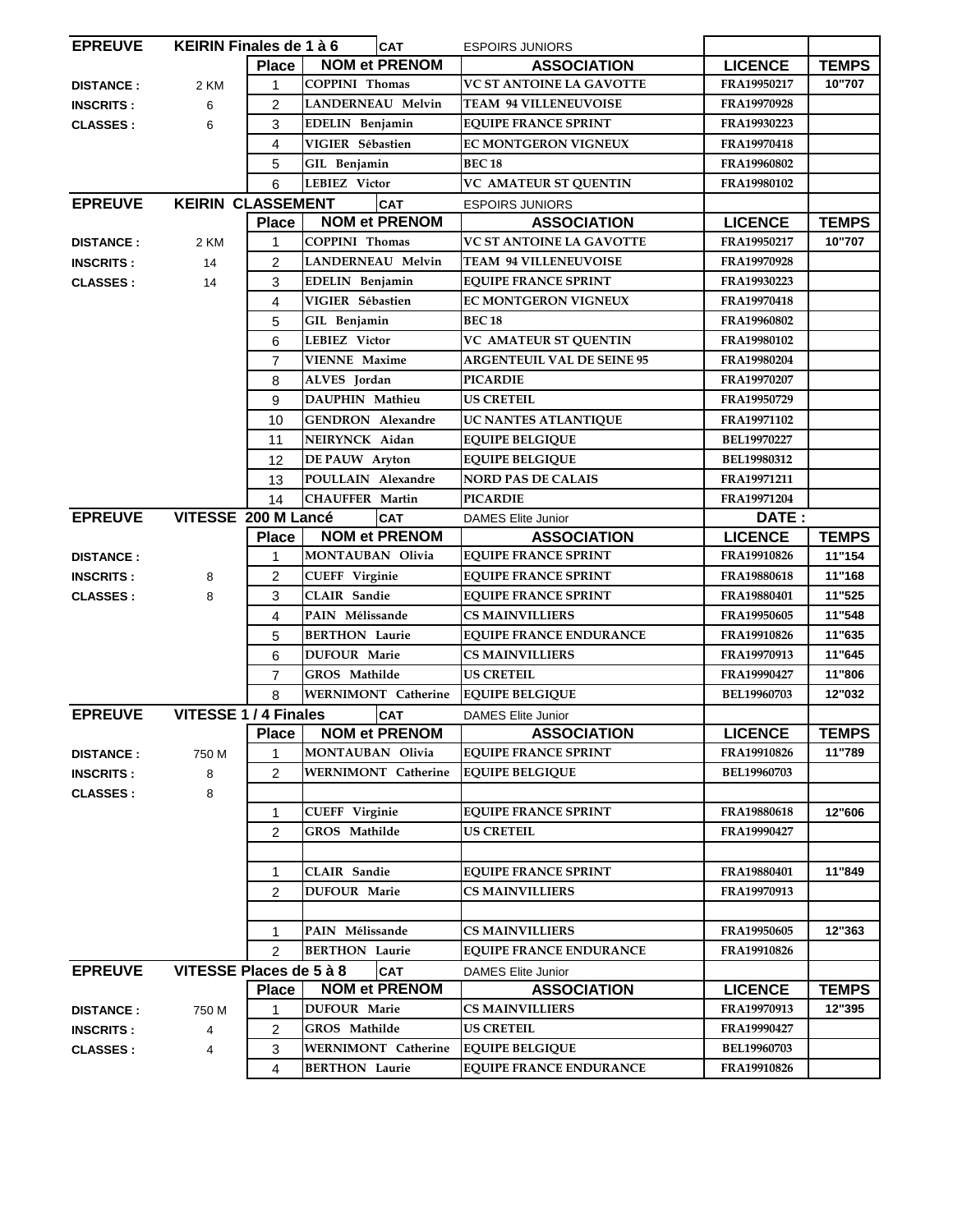| <b>EPREUVE</b>   | <b>KEIRIN Finales de 1 à 6</b> |                | <b>CAT</b>                                  | <b>ESPOIRS JUNIORS</b>                      |                    |              |
|------------------|--------------------------------|----------------|---------------------------------------------|---------------------------------------------|--------------------|--------------|
|                  |                                | <b>Place</b>   | <b>NOM et PRENOM</b>                        | <b>ASSOCIATION</b>                          | <b>LICENCE</b>     | <b>TEMPS</b> |
| <b>DISTANCE:</b> | 2 KM                           | 1              | <b>COPPINI Thomas</b>                       | VC ST ANTOINE LA GAVOTTE                    | FRA19950217        | 10"707       |
| <b>INSCRITS:</b> | 6                              | $\overline{c}$ | <b>LANDERNEAU Melvin</b>                    | <b>TEAM 94 VILLENEUVOISE</b>                | FRA19970928        |              |
| <b>CLASSES:</b>  | 6                              | 3              | EDELIN Benjamin                             | <b>EQUIPE FRANCE SPRINT</b>                 | FRA19930223        |              |
|                  |                                | 4              | VIGIER Sébastien                            | <b>EC MONTGERON VIGNEUX</b>                 | FRA19970418        |              |
|                  |                                | 5              | GIL Benjamin                                | <b>BEC 18</b>                               | FRA19960802        |              |
|                  |                                | 6              | LEBIEZ Victor                               | VC AMATEUR ST QUENTIN                       | FRA19980102        |              |
| <b>EPREUVE</b>   | <b>KEIRIN CLASSEMENT</b>       |                | <b>CAT</b>                                  | <b>ESPOIRS JUNIORS</b>                      |                    |              |
|                  |                                | <b>Place</b>   | <b>NOM et PRENOM</b>                        | <b>ASSOCIATION</b>                          | <b>LICENCE</b>     | <b>TEMPS</b> |
| <b>DISTANCE:</b> | 2 KM                           | 1              | <b>COPPINI Thomas</b>                       | <b>VC ST ANTOINE LA GAVOTTE</b>             | FRA19950217        | 10"707       |
| <b>INSCRITS:</b> | 14                             | $\overline{2}$ | <b>LANDERNEAU Melvin</b>                    | <b>TEAM 94 VILLENEUVOISE</b>                | FRA19970928        |              |
| <b>CLASSES:</b>  | 14                             | 3              | EDELIN Benjamin                             | <b>EQUIPE FRANCE SPRINT</b>                 | FRA19930223        |              |
|                  |                                | 4              | VIGIER Sébastien                            | EC MONTGERON VIGNEUX                        | FRA19970418        |              |
|                  |                                | 5              | GIL Benjamin                                | <b>BEC 18</b>                               | FRA19960802        |              |
|                  |                                | 6              | LEBIEZ Victor                               | <b>VC AMATEUR ST QUENTIN</b>                | FRA19980102        |              |
|                  |                                | $\overline{7}$ | <b>VIENNE Maxime</b>                        | <b>ARGENTEUIL VAL DE SEINE 95</b>           | FRA19980204        |              |
|                  |                                | 8              | ALVES Jordan                                | <b>PICARDIE</b>                             | FRA19970207        |              |
|                  |                                | 9              | DAUPHIN Mathieu                             | <b>US CRETEIL</b>                           | FRA19950729        |              |
|                  |                                | 10             | <b>GENDRON</b> Alexandre                    | UC NANTES ATLANTIQUE                        | FRA19971102        |              |
|                  |                                | 11             | NEIRYNCK Aidan                              | <b>EQUIPE BELGIQUE</b>                      | BEL19970227        |              |
|                  |                                | 12             | <b>DE PAUW</b> Aryton                       | <b>EQUIPE BELGIQUE</b>                      | <b>BEL19980312</b> |              |
|                  |                                | 13             | POULLAIN Alexandre                          | <b>NORD PAS DE CALAIS</b>                   | FRA19971211        |              |
|                  |                                | 14             | <b>CHAUFFER Martin</b>                      | <b>PICARDIE</b>                             | FRA19971204        |              |
| <b>EPREUVE</b>   | VITESSE 200 M Lancé            |                | <b>CAT</b>                                  | <b>DAMES Elite Junior</b>                   | DATE:              |              |
|                  |                                | <b>Place</b>   | <b>NOM et PRENOM</b>                        | <b>ASSOCIATION</b>                          | <b>LICENCE</b>     | <b>TEMPS</b> |
| <b>DISTANCE:</b> |                                | 1              | MONTAUBAN Olivia                            | <b>EQUIPE FRANCE SPRINT</b>                 | FRA19910826        | 11"154       |
| <b>INSCRITS:</b> | 8                              | $\overline{2}$ | <b>CUEFF Virginie</b>                       | <b>EQUIPE FRANCE SPRINT</b>                 | <b>FRA19880618</b> | 11"168       |
| <b>CLASSES:</b>  | 8                              | 3              | <b>CLAIR Sandie</b>                         | <b>EQUIPE FRANCE SPRINT</b>                 | <b>FRA19880401</b> | 11"525       |
|                  |                                | 4              | PAIN Mélissande                             | <b>CS MAINVILLIERS</b>                      | FRA19950605        | 11"548       |
|                  |                                | 5              | <b>BERTHON Laurie</b>                       | <b>EQUIPE FRANCE ENDURANCE</b>              | FRA19910826        | 11"635       |
|                  |                                | 6              | <b>DUFOUR Marie</b>                         | <b>CS MAINVILLIERS</b>                      | FRA19970913        | 11"645       |
|                  |                                | $\overline{7}$ | GROS Mathilde                               | <b>US CRETEIL</b>                           | FRA19990427        | 11"806       |
|                  |                                | 8              | <b>WERNIMONT Catherine</b>                  | <b>EQUIPE BELGIQUE</b>                      | <b>BEL19960703</b> | 12"032       |
| <b>EPREUVE</b>   | VITESSE 1 / 4 Finales          |                | <b>CAT</b>                                  | <b>DAMES Elite Junior</b>                   |                    |              |
|                  |                                | <b>Place</b>   | <b>NOM et PRENOM</b>                        | <b>ASSOCIATION</b>                          | <b>LICENCE</b>     | <b>TEMPS</b> |
| <b>DISTANCE:</b> | 750 M                          | 1              | <b>MONTAUBAN Olivia</b>                     | <b>EQUIPE FRANCE SPRINT</b>                 | FRA19910826        | 11"789       |
| <b>INSCRITS:</b> | 8                              | $\overline{2}$ | <b>WERNIMONT Catherine</b>                  | <b>EQUIPE BELGIQUE</b>                      | <b>BEL19960703</b> |              |
| <b>CLASSES:</b>  | 8                              |                |                                             |                                             |                    |              |
|                  |                                | 1              | <b>CUEFF Virginie</b>                       | <b>EQUIPE FRANCE SPRINT</b>                 | FRA19880618        | 12"606       |
|                  |                                | $\overline{2}$ | GROS Mathilde                               | <b>US CRETEIL</b>                           | FRA19990427        |              |
|                  |                                |                |                                             |                                             |                    |              |
|                  |                                | 1              | <b>CLAIR</b> Sandie                         | <b>EQUIPE FRANCE SPRINT</b>                 | FRA19880401        | 11"849       |
|                  |                                | $\overline{2}$ | <b>DUFOUR Marie</b>                         | <b>CS MAINVILLIERS</b>                      | FRA19970913        |              |
|                  |                                |                |                                             |                                             |                    |              |
|                  |                                | 1              | PAIN Mélissande                             | <b>CS MAINVILLIERS</b>                      | FRA19950605        | 12"363       |
|                  |                                | $\overline{2}$ | <b>BERTHON Laurie</b>                       | <b>EQUIPE FRANCE ENDURANCE</b>              | FRA19910826        |              |
| <b>EPREUVE</b>   | VITESSE Places de 5 à 8        |                | <b>CAT</b>                                  | <b>DAMES Elite Junior</b>                   |                    |              |
|                  |                                | <b>Place</b>   | <b>NOM et PRENOM</b><br><b>DUFOUR Marie</b> | <b>ASSOCIATION</b>                          | <b>LICENCE</b>     | <b>TEMPS</b> |
| <b>DISTANCE:</b> | 750 M                          | 1              | GROS Mathilde                               | <b>CS MAINVILLIERS</b><br><b>US CRETEIL</b> | FRA19970913        | 12"395       |
| <b>INSCRITS:</b> | 4                              | $\overline{2}$ |                                             |                                             | FRA19990427        |              |
| <b>CLASSES:</b>  | 4                              | 3              | <b>WERNIMONT</b> Catherine                  | <b>EQUIPE BELGIQUE</b>                      | BEL19960703        |              |
|                  |                                | 4              | <b>BERTHON Laurie</b>                       | <b>EQUIPE FRANCE ENDURANCE</b>              | <b>FRA19910826</b> |              |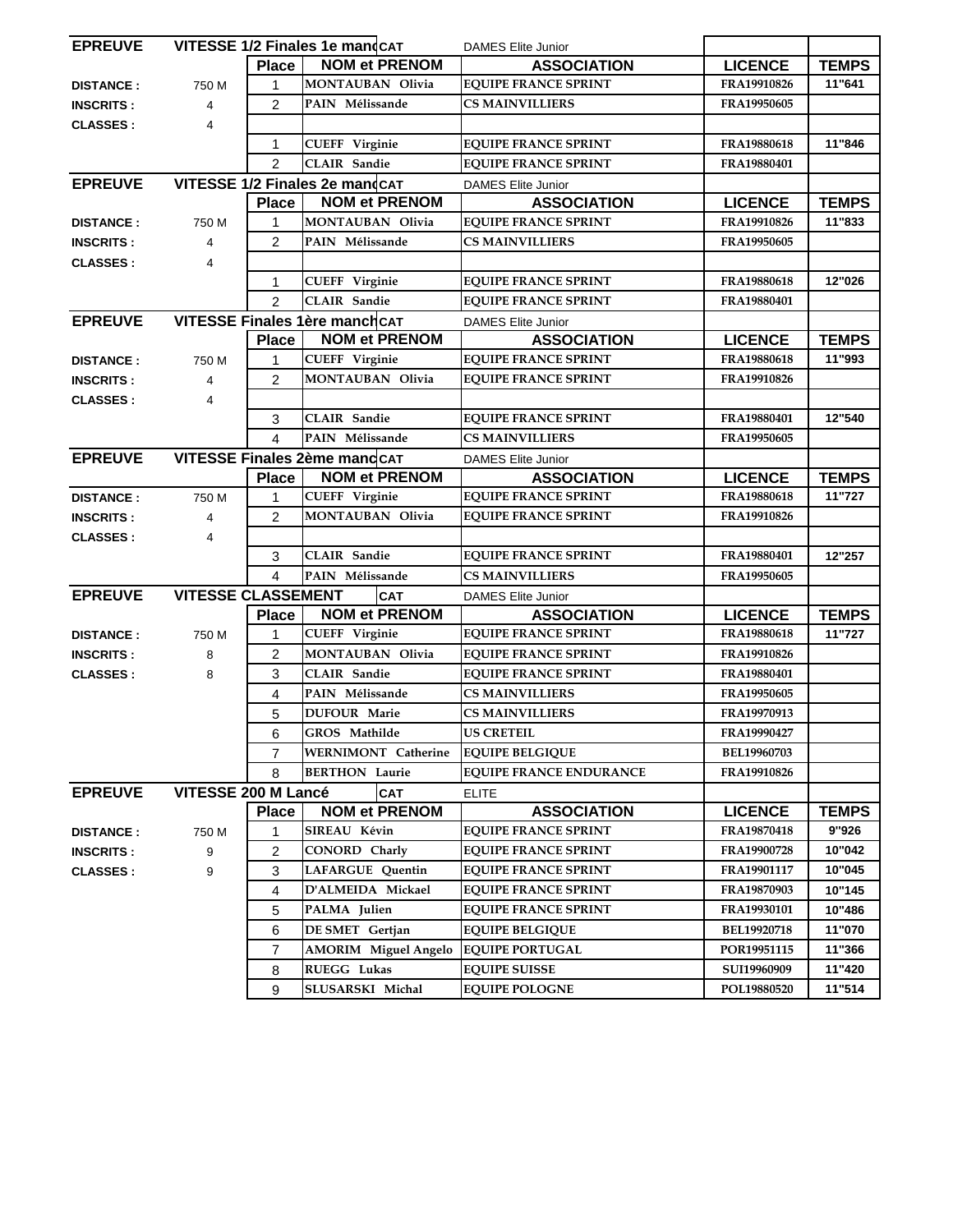| <b>EPREUVE</b>   |                           |                | VITESSE 1/2 Finales 1e mandCAT | <b>DAMES Elite Junior</b>      |                    |              |
|------------------|---------------------------|----------------|--------------------------------|--------------------------------|--------------------|--------------|
|                  |                           | <b>Place</b>   | <b>NOM et PRENOM</b>           | <b>ASSOCIATION</b>             | <b>LICENCE</b>     | <b>TEMPS</b> |
| <b>DISTANCE:</b> | 750 M                     |                | MONTAUBAN Olivia               | <b>EQUIPE FRANCE SPRINT</b>    | FRA19910826        | 11"641       |
| <b>INSCRITS:</b> | 4                         | $\overline{c}$ | PAIN Mélissande                | <b>CS MAINVILLIERS</b>         | FRA19950605        |              |
| <b>CLASSES:</b>  | 4                         |                |                                |                                |                    |              |
|                  |                           | 1              | <b>CUEFF Virginie</b>          | <b>EQUIPE FRANCE SPRINT</b>    | FRA19880618        | 11"846       |
|                  |                           | $\overline{2}$ | <b>CLAIR</b> Sandie            | <b>EQUIPE FRANCE SPRINT</b>    | FRA19880401        |              |
| <b>EPREUVE</b>   |                           |                | VITESSE 1/2 Finales 2e mandCAT | <b>DAMES Elite Junior</b>      |                    |              |
|                  |                           | <b>Place</b>   | <b>NOM et PRENOM</b>           | <b>ASSOCIATION</b>             | <b>LICENCE</b>     | <b>TEMPS</b> |
| <b>DISTANCE:</b> | 750 M                     | 1              | <b>MONTAUBAN Olivia</b>        | <b>EQUIPE FRANCE SPRINT</b>    | FRA19910826        | 11"833       |
| <b>INSCRITS:</b> | 4                         | $\overline{2}$ | PAIN Mélissande                | <b>CS MAINVILLIERS</b>         | FRA19950605        |              |
| <b>CLASSES:</b>  | 4                         |                |                                |                                |                    |              |
|                  |                           | 1              | <b>CUEFF Virginie</b>          | <b>EQUIPE FRANCE SPRINT</b>    | FRA19880618        | 12"026       |
|                  |                           | $\overline{2}$ | <b>CLAIR</b> Sandie            | <b>EQUIPE FRANCE SPRINT</b>    | FRA19880401        |              |
| <b>EPREUVE</b>   |                           |                | VITESSE Finales 1ère manchcAT  | <b>DAMES Elite Junior</b>      |                    |              |
|                  |                           | <b>Place</b>   | <b>NOM et PRENOM</b>           | <b>ASSOCIATION</b>             | <b>LICENCE</b>     | <b>TEMPS</b> |
| <b>DISTANCE:</b> | 750 M                     | 1              | <b>CUEFF Virginie</b>          | <b>EQUIPE FRANCE SPRINT</b>    | FRA19880618        | 11"993       |
| <b>INSCRITS:</b> | 4                         | $\overline{2}$ | MONTAUBAN Olivia               | <b>EQUIPE FRANCE SPRINT</b>    | FRA19910826        |              |
| <b>CLASSES:</b>  | $\overline{\mathbf{4}}$   |                |                                |                                |                    |              |
|                  |                           | 3              | <b>CLAIR</b> Sandie            | <b>EQUIPE FRANCE SPRINT</b>    | FRA19880401        | 12"540       |
|                  |                           | 4              | PAIN Mélissande                | <b>CS MAINVILLIERS</b>         | FRA19950605        |              |
| <b>EPREUVE</b>   |                           |                | VITESSE Finales 2ème mand CAT  | <b>DAMES Elite Junior</b>      |                    |              |
|                  |                           | <b>Place</b>   | <b>NOM et PRENOM</b>           | <b>ASSOCIATION</b>             | <b>LICENCE</b>     | <b>TEMPS</b> |
| <b>DISTANCE:</b> | 750 M                     |                | <b>CUEFF Virginie</b>          | <b>EQUIPE FRANCE SPRINT</b>    | FRA19880618        | 11"727       |
| <b>INSCRITS:</b> | 4                         | $\overline{2}$ | <b>MONTAUBAN Olivia</b>        | <b>EQUIPE FRANCE SPRINT</b>    | FRA19910826        |              |
| <b>CLASSES:</b>  | 4                         |                |                                |                                |                    |              |
|                  |                           | 3              | <b>CLAIR</b> Sandie            | <b>EQUIPE FRANCE SPRINT</b>    | FRA19880401        | 12"257       |
|                  |                           | $\overline{4}$ | PAIN Mélissande                | <b>CS MAINVILLIERS</b>         | FRA19950605        |              |
| <b>EPREUVE</b>   | <b>VITESSE CLASSEMENT</b> |                | <b>CAT</b>                     | <b>DAMES Elite Junior</b>      |                    |              |
|                  |                           | <b>Place</b>   | <b>NOM et PRENOM</b>           | <b>ASSOCIATION</b>             | <b>LICENCE</b>     | <b>TEMPS</b> |
| <b>DISTANCE:</b> | 750 M                     | 1              | <b>CUEFF Virginie</b>          | <b>EQUIPE FRANCE SPRINT</b>    | FRA19880618        | 11"727       |
| <b>INSCRITS:</b> | 8                         | $\overline{c}$ | MONTAUBAN Olivia               | <b>EQUIPE FRANCE SPRINT</b>    | FRA19910826        |              |
| <b>CLASSES:</b>  | 8                         | 3              | <b>CLAIR</b> Sandie            | <b>EQUIPE FRANCE SPRINT</b>    | FRA19880401        |              |
|                  |                           | 4              | PAIN Mélissande                | <b>CS MAINVILLIERS</b>         | FRA19950605        |              |
|                  |                           | 5              | <b>DUFOUR Marie</b>            | <b>CS MAINVILLIERS</b>         | FRA19970913        |              |
|                  |                           | 6              | GROS Mathilde                  | <b>US CRETEIL</b>              | FRA19990427        |              |
|                  |                           | 7              | <b>WERNIMONT Catherine</b>     | <b>EQUIPE BELGIQUE</b>         | <b>BEL19960703</b> |              |
|                  |                           | 8              | <b>BERTHON Laurie</b>          | <b>EQUIPE FRANCE ENDURANCE</b> | <b>FRA19910826</b> |              |
| <b>EPREUVE</b>   | VITESSE 200 M Lancé       |                | <b>CAT</b>                     | <b>ELITE</b>                   |                    |              |
|                  |                           | <b>Place</b>   | <b>NOM et PRENOM</b>           | <b>ASSOCIATION</b>             | <b>LICENCE</b>     | <b>TEMPS</b> |
| <b>DISTANCE:</b> | 750 M                     | 1              | SIREAU Kévin                   | <b>EQUIPE FRANCE SPRINT</b>    | FRA19870418        | 9"926        |
| <b>INSCRITS:</b> | 9                         | $\overline{2}$ | <b>CONORD</b> Charly           | <b>EQUIPE FRANCE SPRINT</b>    | FRA19900728        | 10"042       |
| <b>CLASSES:</b>  | 9                         | 3              | <b>LAFARGUE Quentin</b>        | <b>EQUIPE FRANCE SPRINT</b>    | FRA19901117        | 10"045       |
|                  |                           | 4              | D'ALMEIDA Mickael              | <b>EQUIPE FRANCE SPRINT</b>    | FRA19870903        | 10"145       |
|                  |                           | 5              | PALMA Julien                   | <b>EQUIPE FRANCE SPRINT</b>    | FRA19930101        | 10"486       |
|                  |                           | 6              | DE SMET Gertjan                | <b>EQUIPE BELGIQUE</b>         | BEL19920718        | 11"070       |
|                  |                           | 7              | <b>AMORIM Miguel Angelo</b>    | <b>EQUIPE PORTUGAL</b>         | POR19951115        | 11"366       |
|                  |                           | 8              | RUEGG Lukas                    | <b>EQUIPE SUISSE</b>           | SUI19960909        | 11"420       |
|                  |                           | 9              | SLUSARSKI Michal               | <b>EQUIPE POLOGNE</b>          | POL19880520        | 11"514       |